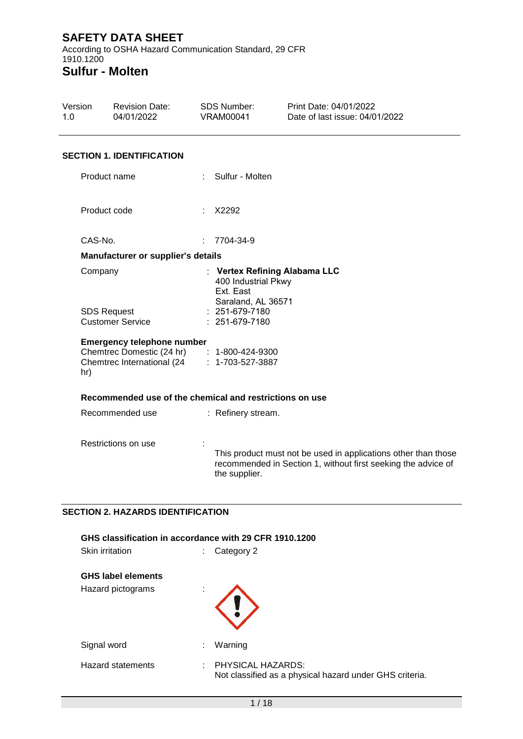According to OSHA Hazard Communication Standard, 29 CFR 1910.1200 **Sulfur - Molten**

Version 1.0 Revision Date: 04/01/2022 SDS Number: VRAM00041 Print Date: 04/01/2022 Date of last issue: 04/01/2022 **SECTION 1. IDENTIFICATION** Product name : Sulfur - Molten Product code : X2292 CAS-No. : 7704-34-9 **Manufacturer or supplier's details** Company : **Vertex Refining Alabama LLC** 400 Industrial Pkwy Ext. East Saraland, AL 36571 SDS Request Customer Service : 251-679-7180 : 251-679-7180 **Emergency telephone number** Chemtrec Domestic (24 hr) : 1-800-424-9300 Chemtrec International (24 hr) : 1-703-527-3887 **Recommended use of the chemical and restrictions on use** Recommended use : Refinery stream. Restrictions on use : : This product must not be used in applications other than those recommended in Section 1, without first seeking the advice of the supplier.

## **SECTION 2. HAZARDS IDENTIFICATION**

| GHS classification in accordance with 29 CFR 1910.1200 |                                                                                    |  |  |
|--------------------------------------------------------|------------------------------------------------------------------------------------|--|--|
| <b>Skin irritation</b>                                 | Category 2<br>÷.                                                                   |  |  |
| <b>GHS label elements</b>                              |                                                                                    |  |  |
| Hazard pictograms                                      | ٠                                                                                  |  |  |
| Signal word                                            | Warning<br>t.                                                                      |  |  |
| <b>Hazard statements</b>                               | PHYSICAL HAZARDS:<br>÷.<br>Not classified as a physical hazard under GHS criteria. |  |  |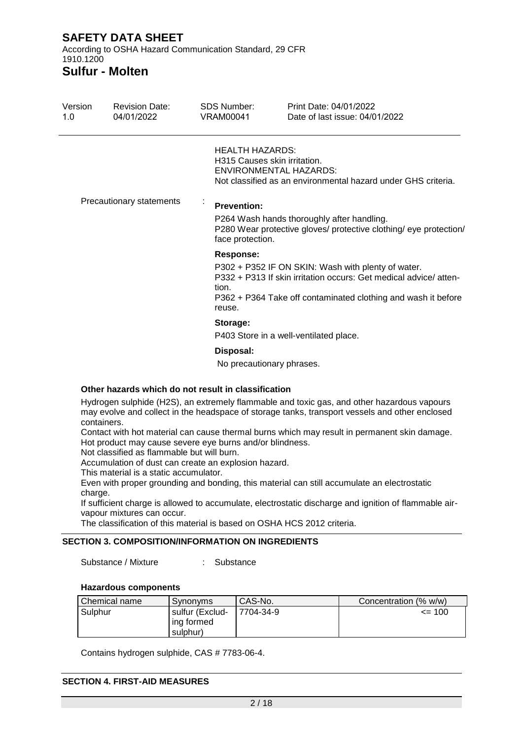According to OSHA Hazard Communication Standard, 29 CFR 1910.1200

**Sulfur - Molten**

| Version<br>1.0 | <b>Revision Date:</b><br>04/01/2022 | SDS Number:<br>VRAM00041                               | Print Date: 04/01/2022<br>Date of last issue: 04/01/2022                                                                                                                                |
|----------------|-------------------------------------|--------------------------------------------------------|-----------------------------------------------------------------------------------------------------------------------------------------------------------------------------------------|
|                |                                     | <b>HEALTH HAZARDS:</b><br>H315 Causes skin irritation. | <b>ENVIRONMENTAL HAZARDS:</b><br>Not classified as an environmental hazard under GHS criteria.                                                                                          |
|                | Precautionary statements            | <b>Prevention:</b><br>face protection.                 | P264 Wash hands thoroughly after handling.<br>P280 Wear protective gloves/ protective clothing/ eye protection/                                                                         |
|                |                                     | Response:<br>tion.<br>reuse.                           | P302 + P352 IF ON SKIN: Wash with plenty of water.<br>P332 + P313 If skin irritation occurs: Get medical advice/atten-<br>P362 + P364 Take off contaminated clothing and wash it before |
|                |                                     | Storage:                                               | P403 Store in a well-ventilated place.                                                                                                                                                  |
|                |                                     | Disposal:<br>No precautionary phrases.                 |                                                                                                                                                                                         |

### **Other hazards which do not result in classification**

Hydrogen sulphide (H2S), an extremely flammable and toxic gas, and other hazardous vapours may evolve and collect in the headspace of storage tanks, transport vessels and other enclosed containers.

Contact with hot material can cause thermal burns which may result in permanent skin damage. Hot product may cause severe eye burns and/or blindness.

Not classified as flammable but will burn.

Accumulation of dust can create an explosion hazard.

This material is a static accumulator.

Even with proper grounding and bonding, this material can still accumulate an electrostatic charge.

If sufficient charge is allowed to accumulate, electrostatic discharge and ignition of flammable airvapour mixtures can occur.

The classification of this material is based on OSHA HCS 2012 criteria.

## **SECTION 3. COMPOSITION/INFORMATION ON INGREDIENTS**

Substance / Mixture : Substance

#### **Hazardous components**

| Chemical name | Synonyms                                    | CAS-No.   | Concentration (% w/w) |
|---------------|---------------------------------------------|-----------|-----------------------|
| Sulphur       | sulfur (Exclud-<br>l ing formed<br>sulphur) | 7704-34-9 | $\leq$ 100            |

Contains hydrogen sulphide, CAS # 7783-06-4.

#### **SECTION 4. FIRST-AID MEASURES**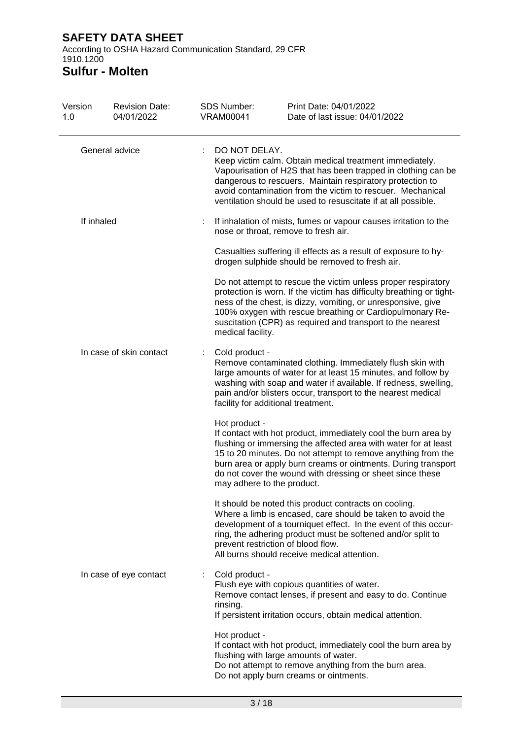According to OSHA Hazard Communication Standard, 29 CFR 1910.1200

**Sulfur - Molten**

| Version<br>1.0 | <b>Revision Date:</b><br>04/01/2022 | <b>SDS Number:</b><br><b>VRAM00041</b> | Print Date: 04/01/2022<br>Date of last issue: 04/01/2022                                                                                                                                                                                                                                                                                                      |
|----------------|-------------------------------------|----------------------------------------|---------------------------------------------------------------------------------------------------------------------------------------------------------------------------------------------------------------------------------------------------------------------------------------------------------------------------------------------------------------|
|                | General advice                      | DO NOT DELAY.                          | Keep victim calm. Obtain medical treatment immediately.<br>Vapourisation of H2S that has been trapped in clothing can be<br>dangerous to rescuers. Maintain respiratory protection to<br>avoid contamination from the victim to rescuer. Mechanical<br>ventilation should be used to resuscitate if at all possible.                                          |
| If inhaled     |                                     |                                        | If inhalation of mists, fumes or vapour causes irritation to the<br>nose or throat, remove to fresh air.                                                                                                                                                                                                                                                      |
|                |                                     |                                        | Casualties suffering ill effects as a result of exposure to hy-<br>drogen sulphide should be removed to fresh air.                                                                                                                                                                                                                                            |
|                |                                     | medical facility.                      | Do not attempt to rescue the victim unless proper respiratory<br>protection is worn. If the victim has difficulty breathing or tight-<br>ness of the chest, is dizzy, vomiting, or unresponsive, give<br>100% oxygen with rescue breathing or Cardiopulmonary Re-<br>suscitation (CPR) as required and transport to the nearest                               |
|                | In case of skin contact             | Cold product -                         | Remove contaminated clothing. Immediately flush skin with<br>large amounts of water for at least 15 minutes, and follow by<br>washing with soap and water if available. If redness, swelling,<br>pain and/or blisters occur, transport to the nearest medical<br>facility for additional treatment.                                                           |
|                |                                     | Hot product -                          | If contact with hot product, immediately cool the burn area by<br>flushing or immersing the affected area with water for at least<br>15 to 20 minutes. Do not attempt to remove anything from the<br>burn area or apply burn creams or ointments. During transport<br>do not cover the wound with dressing or sheet since these<br>may adhere to the product. |
|                |                                     |                                        | It should be noted this product contracts on cooling.<br>Where a limb is encased, care should be taken to avoid the<br>development of a tourniquet effect. In the event of this occur-<br>ring, the adhering product must be softened and/or split to<br>prevent restriction of blood flow.<br>All burns should receive medical attention.                    |
|                | In case of eye contact              | Cold product -<br>rinsing.             | Flush eye with copious quantities of water.<br>Remove contact lenses, if present and easy to do. Continue<br>If persistent irritation occurs, obtain medical attention.                                                                                                                                                                                       |
|                |                                     | Hot product -                          | If contact with hot product, immediately cool the burn area by<br>flushing with large amounts of water.<br>Do not attempt to remove anything from the burn area.<br>Do not apply burn creams or ointments.                                                                                                                                                    |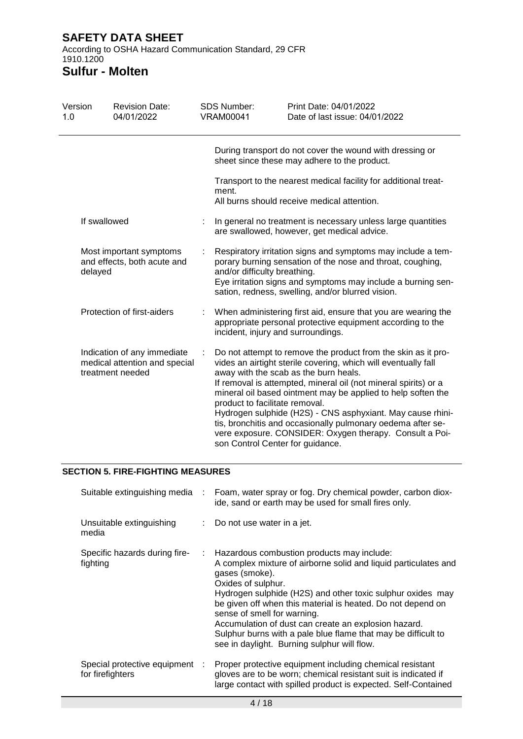## **SAFETY DATA SHEET** According to OSHA Hazard Communication Standard, 29 CFR

#### 1910.1200 **Sulfur - Molten**

| Version<br>1.0 | <b>Revision Date:</b><br>04/01/2022                                              |   | <b>SDS Number:</b><br><b>VRAM00041</b> | Print Date: 04/01/2022<br>Date of last issue: 04/01/2022                                                                                                                                                                                                                                                                                                                                                                                                                                                                                |
|----------------|----------------------------------------------------------------------------------|---|----------------------------------------|-----------------------------------------------------------------------------------------------------------------------------------------------------------------------------------------------------------------------------------------------------------------------------------------------------------------------------------------------------------------------------------------------------------------------------------------------------------------------------------------------------------------------------------------|
|                |                                                                                  |   |                                        | During transport do not cover the wound with dressing or<br>sheet since these may adhere to the product.                                                                                                                                                                                                                                                                                                                                                                                                                                |
|                |                                                                                  |   | ment.                                  | Transport to the nearest medical facility for additional treat-<br>All burns should receive medical attention.                                                                                                                                                                                                                                                                                                                                                                                                                          |
|                | If swallowed                                                                     |   |                                        | In general no treatment is necessary unless large quantities<br>are swallowed, however, get medical advice.                                                                                                                                                                                                                                                                                                                                                                                                                             |
|                | Most important symptoms<br>and effects, both acute and<br>delayed                |   | and/or difficulty breathing.           | Respiratory irritation signs and symptoms may include a tem-<br>porary burning sensation of the nose and throat, coughing,<br>Eye irritation signs and symptoms may include a burning sen-<br>sation, redness, swelling, and/or blurred vision.                                                                                                                                                                                                                                                                                         |
|                | Protection of first-aiders                                                       | ÷ |                                        | When administering first aid, ensure that you are wearing the<br>appropriate personal protective equipment according to the<br>incident, injury and surroundings.                                                                                                                                                                                                                                                                                                                                                                       |
|                | Indication of any immediate<br>medical attention and special<br>treatment needed | ÷ | product to facilitate removal.         | Do not attempt to remove the product from the skin as it pro-<br>vides an airtight sterile covering, which will eventually fall<br>away with the scab as the burn heals.<br>If removal is attempted, mineral oil (not mineral spirits) or a<br>mineral oil based ointment may be applied to help soften the<br>Hydrogen sulphide (H2S) - CNS asphyxiant. May cause rhini-<br>tis, bronchitis and occasionally pulmonary oedema after se-<br>vere exposure. CONSIDER: Oxygen therapy. Consult a Poi-<br>son Control Center for guidance. |

## **SECTION 5. FIRE-FIGHTING MEASURES**

| Suitable extinguishing media                       |    | Foam, water spray or fog. Dry chemical powder, carbon diox-<br>ide, sand or earth may be used for small fires only.                                                                                                                                                                                                                                                                                                                                                                       |
|----------------------------------------------------|----|-------------------------------------------------------------------------------------------------------------------------------------------------------------------------------------------------------------------------------------------------------------------------------------------------------------------------------------------------------------------------------------------------------------------------------------------------------------------------------------------|
| Unsuitable extinguishing<br>media                  |    | $\therefore$ Do not use water in a jet.                                                                                                                                                                                                                                                                                                                                                                                                                                                   |
| Specific hazards during fire-<br>fighting          | t. | Hazardous combustion products may include:<br>A complex mixture of airborne solid and liquid particulates and<br>gases (smoke).<br>Oxides of sulphur.<br>Hydrogen sulphide (H2S) and other toxic sulphur oxides may<br>be given off when this material is heated. Do not depend on<br>sense of smell for warning.<br>Accumulation of dust can create an explosion hazard.<br>Sulphur burns with a pale blue flame that may be difficult to<br>see in daylight. Burning sulphur will flow. |
| Special protective equipment :<br>for firefighters |    | Proper protective equipment including chemical resistant<br>gloves are to be worn; chemical resistant suit is indicated if<br>large contact with spilled product is expected. Self-Contained                                                                                                                                                                                                                                                                                              |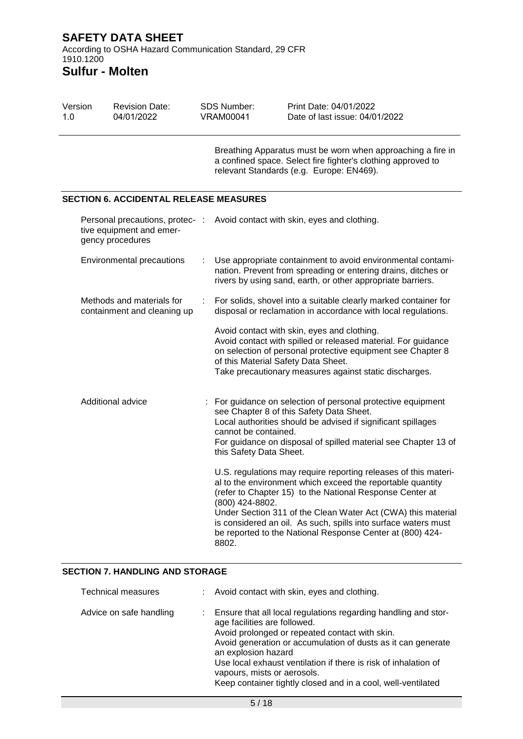### Version 1.0 Revision Date: 04/01/2022 SDS Number: VRAM00041 Print Date: 04/01/2022 Date of last issue: 04/01/2022 Breathing Apparatus must be worn when approaching a fire in a confined space. Select fire fighter's clothing approved to relevant Standards (e.g. Europe: EN469). **SECTION 6. ACCIDENTAL RELEASE MEASURES** Personal precautions, protec-: Avoid contact with skin, eyes and clothing. tive equipment and emergency procedures Environmental precautions : Use appropriate containment to avoid environmental contamination. Prevent from spreading or entering drains, ditches or rivers by using sand, earth, or other appropriate barriers. Methods and materials for containment and cleaning up : For solids, shovel into a suitable clearly marked container for disposal or reclamation in accordance with local regulations. Avoid contact with skin, eyes and clothing. Avoid contact with spilled or released material. For guidance on selection of personal protective equipment see Chapter 8 of this Material Safety Data Sheet. Take precautionary measures against static discharges. Additional advice : For guidance on selection of personal protective equipment see Chapter 8 of this Safety Data Sheet. Local authorities should be advised if significant spillages cannot be contained. For guidance on disposal of spilled material see Chapter 13 of this Safety Data Sheet. U.S. regulations may require reporting releases of this material to the environment which exceed the reportable quantity (refer to Chapter 15) to the National Response Center at (800) 424-8802. Under Section 311 of the Clean Water Act (CWA) this material is considered an oil. As such, spills into surface waters must be reported to the National Response Center at (800) 424- 8802.

## **SECTION 7. HANDLING AND STORAGE**

| <b>Technical measures</b> | : Avoid contact with skin, eyes and clothing.                                                                                                                                                                                                                                                                                                                                                             |
|---------------------------|-----------------------------------------------------------------------------------------------------------------------------------------------------------------------------------------------------------------------------------------------------------------------------------------------------------------------------------------------------------------------------------------------------------|
| Advice on safe handling   | Ensure that all local regulations regarding handling and stor-<br>age facilities are followed.<br>Avoid prolonged or repeated contact with skin.<br>Avoid generation or accumulation of dusts as it can generate<br>an explosion hazard<br>Use local exhaust ventilation if there is risk of inhalation of<br>vapours, mists or aerosols.<br>Keep container tightly closed and in a cool, well-ventilated |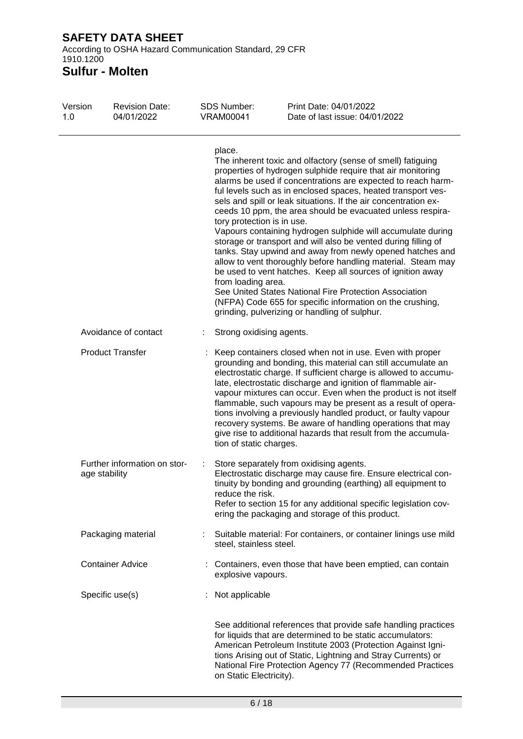According to OSHA Hazard Communication Standard, 29 CFR 1910.1200

**Sulfur - Molten**

| Version<br>1.0 | <b>Revision Date:</b><br>04/01/2022           | <b>SDS Number:</b><br><b>VRAM00041</b>                     | Print Date: 04/01/2022<br>Date of last issue: 04/01/2022                                                                                                                                                                                                                                                                                                                                                                                                                                                                                                                                                                                                                                                                                                                                                                                                                                        |
|----------------|-----------------------------------------------|------------------------------------------------------------|-------------------------------------------------------------------------------------------------------------------------------------------------------------------------------------------------------------------------------------------------------------------------------------------------------------------------------------------------------------------------------------------------------------------------------------------------------------------------------------------------------------------------------------------------------------------------------------------------------------------------------------------------------------------------------------------------------------------------------------------------------------------------------------------------------------------------------------------------------------------------------------------------|
|                |                                               | place.<br>tory protection is in use.<br>from loading area. | The inherent toxic and olfactory (sense of smell) fatiguing<br>properties of hydrogen sulphide require that air monitoring<br>alarms be used if concentrations are expected to reach harm-<br>ful levels such as in enclosed spaces, heated transport ves-<br>sels and spill or leak situations. If the air concentration ex-<br>ceeds 10 ppm, the area should be evacuated unless respira-<br>Vapours containing hydrogen sulphide will accumulate during<br>storage or transport and will also be vented during filling of<br>tanks. Stay upwind and away from newly opened hatches and<br>allow to vent thoroughly before handling material. Steam may<br>be used to vent hatches. Keep all sources of ignition away<br>See United States National Fire Protection Association<br>(NFPA) Code 655 for specific information on the crushing,<br>grinding, pulverizing or handling of sulphur. |
|                | Avoidance of contact                          | Strong oxidising agents.                                   |                                                                                                                                                                                                                                                                                                                                                                                                                                                                                                                                                                                                                                                                                                                                                                                                                                                                                                 |
|                | <b>Product Transfer</b>                       | tion of static charges.                                    | Keep containers closed when not in use. Even with proper<br>grounding and bonding, this material can still accumulate an<br>electrostatic charge. If sufficient charge is allowed to accumu-<br>late, electrostatic discharge and ignition of flammable air-<br>vapour mixtures can occur. Even when the product is not itself<br>flammable, such vapours may be present as a result of opera-<br>tions involving a previously handled product, or faulty vapour<br>recovery systems. Be aware of handling operations that may<br>give rise to additional hazards that result from the accumula-                                                                                                                                                                                                                                                                                                |
|                | Further information on stor-<br>age stability | reduce the risk.                                           | Store separately from oxidising agents.<br>Electrostatic discharge may cause fire. Ensure electrical con-<br>tinuity by bonding and grounding (earthing) all equipment to<br>Refer to section 15 for any additional specific legislation cov-<br>ering the packaging and storage of this product.                                                                                                                                                                                                                                                                                                                                                                                                                                                                                                                                                                                               |
|                | Packaging material                            | steel, stainless steel.                                    | Suitable material: For containers, or container linings use mild                                                                                                                                                                                                                                                                                                                                                                                                                                                                                                                                                                                                                                                                                                                                                                                                                                |
|                | <b>Container Advice</b>                       | explosive vapours.                                         | : Containers, even those that have been emptied, can contain                                                                                                                                                                                                                                                                                                                                                                                                                                                                                                                                                                                                                                                                                                                                                                                                                                    |
|                | Specific use(s)                               | Not applicable                                             |                                                                                                                                                                                                                                                                                                                                                                                                                                                                                                                                                                                                                                                                                                                                                                                                                                                                                                 |
|                |                                               | on Static Electricity).                                    | See additional references that provide safe handling practices<br>for liquids that are determined to be static accumulators:<br>American Petroleum Institute 2003 (Protection Against Igni-<br>tions Arising out of Static, Lightning and Stray Currents) or<br>National Fire Protection Agency 77 (Recommended Practices                                                                                                                                                                                                                                                                                                                                                                                                                                                                                                                                                                       |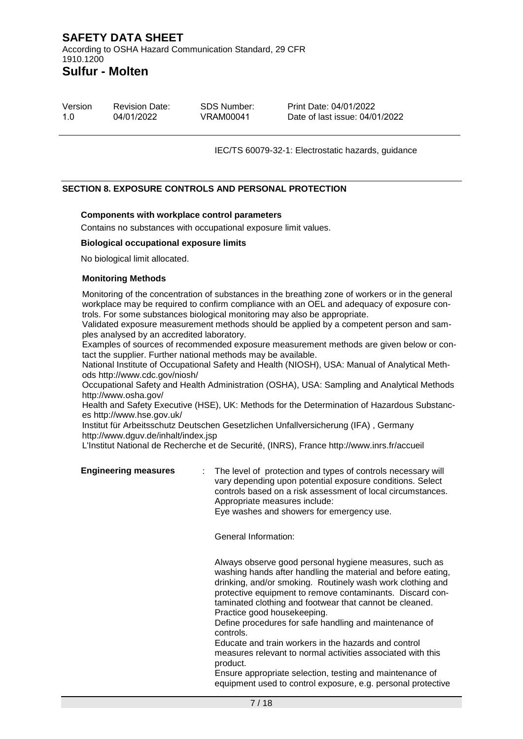Version 1.0 Revision Date: 04/01/2022 SDS Number: VRAM00041 Print Date: 04/01/2022 Date of last issue: 04/01/2022

IEC/TS 60079-32-1: Electrostatic hazards, guidance

#### **SECTION 8. EXPOSURE CONTROLS AND PERSONAL PROTECTION**

#### **Components with workplace control parameters**

Contains no substances with occupational exposure limit values.

#### **Biological occupational exposure limits**

No biological limit allocated.

#### **Monitoring Methods**

Monitoring of the concentration of substances in the breathing zone of workers or in the general workplace may be required to confirm compliance with an OEL and adequacy of exposure controls. For some substances biological monitoring may also be appropriate.

Validated exposure measurement methods should be applied by a competent person and samples analysed by an accredited laboratory.

Examples of sources of recommended exposure measurement methods are given below or contact the supplier. Further national methods may be available.

National Institute of Occupational Safety and Health (NIOSH), USA: Manual of Analytical Methods http://www.cdc.gov/niosh/

Occupational Safety and Health Administration (OSHA), USA: Sampling and Analytical Methods http://www.osha.gov/

Health and Safety Executive (HSE), UK: Methods for the Determination of Hazardous Substances http://www.hse.gov.uk/

Institut für Arbeitsschutz Deutschen Gesetzlichen Unfallversicherung (IFA) , Germany http://www.dguv.de/inhalt/index.jsp

L'Institut National de Recherche et de Securité, (INRS), France http://www.inrs.fr/accueil

| <b>Engineering measures</b> | The level of protection and types of controls necessary will<br>vary depending upon potential exposure conditions. Select<br>controls based on a risk assessment of local circumstances. |
|-----------------------------|------------------------------------------------------------------------------------------------------------------------------------------------------------------------------------------|
|                             | Appropriate measures include:                                                                                                                                                            |
|                             | Eye washes and showers for emergency use.                                                                                                                                                |

General Information:

Always observe good personal hygiene measures, such as washing hands after handling the material and before eating, drinking, and/or smoking. Routinely wash work clothing and protective equipment to remove contaminants. Discard contaminated clothing and footwear that cannot be cleaned. Practice good housekeeping.

Define procedures for safe handling and maintenance of controls.

Educate and train workers in the hazards and control measures relevant to normal activities associated with this product.

Ensure appropriate selection, testing and maintenance of equipment used to control exposure, e.g. personal protective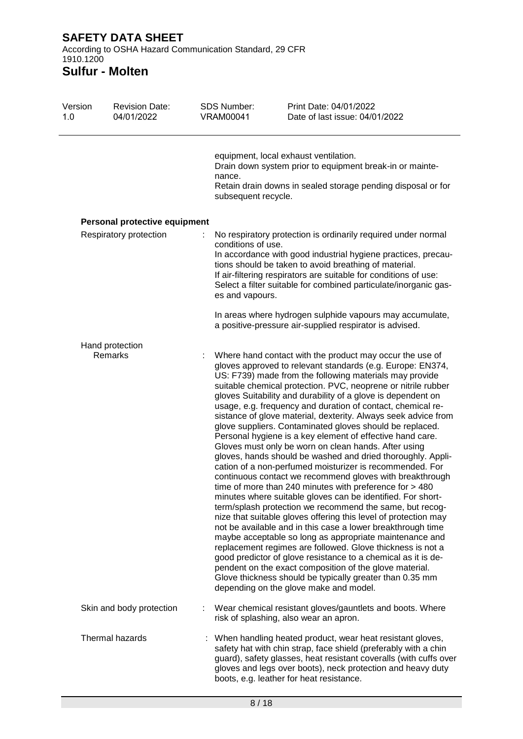According to OSHA Hazard Communication Standard, 29 CFR 1910.1200

# **Sulfur - Molten**

| Version<br>1.0 | <b>Revision Date:</b><br>04/01/2022 | SDS Number:<br><b>VRAM00041</b>       | Print Date: 04/01/2022<br>Date of last issue: 04/01/2022                                                                                                                                                                                                                                                                                                                                                                                                                                                                                                                                                                                                                                                                                                                                                                                                                                                                                                                                                                                                                                                                                                                                                                                                                                                                                                                                                                                                                                                       |
|----------------|-------------------------------------|---------------------------------------|----------------------------------------------------------------------------------------------------------------------------------------------------------------------------------------------------------------------------------------------------------------------------------------------------------------------------------------------------------------------------------------------------------------------------------------------------------------------------------------------------------------------------------------------------------------------------------------------------------------------------------------------------------------------------------------------------------------------------------------------------------------------------------------------------------------------------------------------------------------------------------------------------------------------------------------------------------------------------------------------------------------------------------------------------------------------------------------------------------------------------------------------------------------------------------------------------------------------------------------------------------------------------------------------------------------------------------------------------------------------------------------------------------------------------------------------------------------------------------------------------------------|
|                |                                     | nance.<br>subsequent recycle.         | equipment, local exhaust ventilation.<br>Drain down system prior to equipment break-in or mainte-<br>Retain drain downs in sealed storage pending disposal or for                                                                                                                                                                                                                                                                                                                                                                                                                                                                                                                                                                                                                                                                                                                                                                                                                                                                                                                                                                                                                                                                                                                                                                                                                                                                                                                                              |
|                | Personal protective equipment       |                                       |                                                                                                                                                                                                                                                                                                                                                                                                                                                                                                                                                                                                                                                                                                                                                                                                                                                                                                                                                                                                                                                                                                                                                                                                                                                                                                                                                                                                                                                                                                                |
|                | Respiratory protection              | conditions of use.<br>es and vapours. | No respiratory protection is ordinarily required under normal<br>In accordance with good industrial hygiene practices, precau-<br>tions should be taken to avoid breathing of material.<br>If air-filtering respirators are suitable for conditions of use:<br>Select a filter suitable for combined particulate/inorganic gas-                                                                                                                                                                                                                                                                                                                                                                                                                                                                                                                                                                                                                                                                                                                                                                                                                                                                                                                                                                                                                                                                                                                                                                                |
|                |                                     |                                       | In areas where hydrogen sulphide vapours may accumulate,<br>a positive-pressure air-supplied respirator is advised.                                                                                                                                                                                                                                                                                                                                                                                                                                                                                                                                                                                                                                                                                                                                                                                                                                                                                                                                                                                                                                                                                                                                                                                                                                                                                                                                                                                            |
|                | Hand protection<br>Remarks          |                                       | Where hand contact with the product may occur the use of<br>gloves approved to relevant standards (e.g. Europe: EN374,<br>US: F739) made from the following materials may provide<br>suitable chemical protection. PVC, neoprene or nitrile rubber<br>gloves Suitability and durability of a glove is dependent on<br>usage, e.g. frequency and duration of contact, chemical re-<br>sistance of glove material, dexterity. Always seek advice from<br>glove suppliers. Contaminated gloves should be replaced.<br>Personal hygiene is a key element of effective hand care.<br>Gloves must only be worn on clean hands. After using<br>gloves, hands should be washed and dried thoroughly. Appli-<br>cation of a non-perfumed moisturizer is recommended. For<br>continuous contact we recommend gloves with breakthrough<br>time of more than 240 minutes with preference for > 480<br>minutes where suitable gloves can be identified. For short-<br>term/splash protection we recommend the same, but recog-<br>nize that suitable gloves offering this level of protection may<br>not be available and in this case a lower breakthrough time<br>maybe acceptable so long as appropriate maintenance and<br>replacement regimes are followed. Glove thickness is not a<br>good predictor of glove resistance to a chemical as it is de-<br>pendent on the exact composition of the glove material.<br>Glove thickness should be typically greater than 0.35 mm<br>depending on the glove make and model. |
|                | Skin and body protection            |                                       | Wear chemical resistant gloves/gauntlets and boots. Where<br>risk of splashing, also wear an apron.                                                                                                                                                                                                                                                                                                                                                                                                                                                                                                                                                                                                                                                                                                                                                                                                                                                                                                                                                                                                                                                                                                                                                                                                                                                                                                                                                                                                            |
|                | Thermal hazards                     |                                       | When handling heated product, wear heat resistant gloves,<br>safety hat with chin strap, face shield (preferably with a chin<br>guard), safety glasses, heat resistant coveralls (with cuffs over<br>gloves and legs over boots), neck protection and heavy duty<br>boots, e.g. leather for heat resistance.                                                                                                                                                                                                                                                                                                                                                                                                                                                                                                                                                                                                                                                                                                                                                                                                                                                                                                                                                                                                                                                                                                                                                                                                   |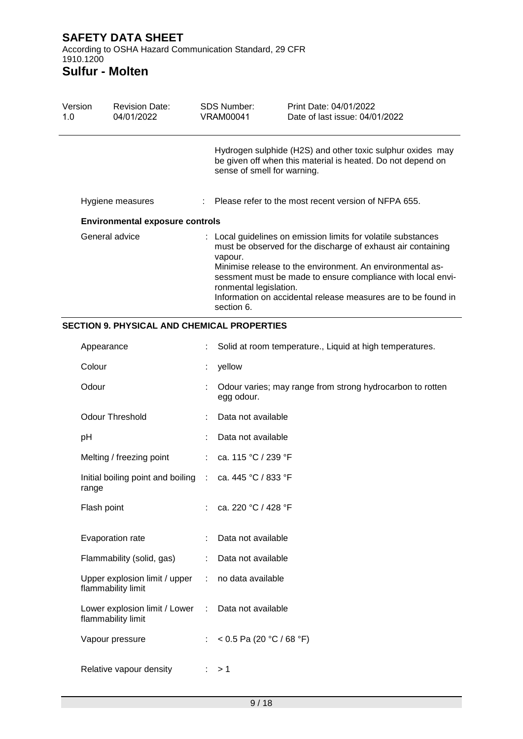According to OSHA Hazard Communication Standard, 29 CFR 1910.1200

# **Sulfur - Molten**

| Version<br>1.0 | <b>Revision Date:</b><br>04/01/2022    | SDS Number:<br>VRAM00041                        | Print Date: 04/01/2022<br>Date of last issue: 04/01/2022                                                                                                                                                                                                                                                                   |
|----------------|----------------------------------------|-------------------------------------------------|----------------------------------------------------------------------------------------------------------------------------------------------------------------------------------------------------------------------------------------------------------------------------------------------------------------------------|
|                |                                        | sense of smell for warning.                     | Hydrogen sulphide (H2S) and other toxic sulphur oxides may<br>be given off when this material is heated. Do not depend on                                                                                                                                                                                                  |
|                | Hygiene measures                       |                                                 | $\therefore$ Please refer to the most recent version of NFPA 655.                                                                                                                                                                                                                                                          |
|                | <b>Environmental exposure controls</b> |                                                 |                                                                                                                                                                                                                                                                                                                            |
|                | General advice                         | vapour.<br>ronmental legislation.<br>section 6. | : Local guidelines on emission limits for volatile substances<br>must be observed for the discharge of exhaust air containing<br>Minimise release to the environment. An environmental as-<br>sessment must be made to ensure compliance with local envi-<br>Information on accidental release measures are to be found in |

## **SECTION 9. PHYSICAL AND CHEMICAL PROPERTIES**

| Appearance                                          |                       | Solid at room temperature., Liquid at high temperatures.                |
|-----------------------------------------------------|-----------------------|-------------------------------------------------------------------------|
| Colour                                              | t                     | yellow                                                                  |
| Odour                                               |                       | Odour varies; may range from strong hydrocarbon to rotten<br>egg odour. |
| <b>Odour Threshold</b>                              |                       | Data not available                                                      |
| pH                                                  |                       | Data not available                                                      |
| Melting / freezing point                            | $\mathbb{R}^n$        | ca. 115 °C / 239 °F                                                     |
| Initial boiling point and boiling :<br>range        |                       | ca. 445 °C / 833 °F                                                     |
| Flash point                                         | ÷.                    | ca. 220 °C / 428 °F                                                     |
| Evaporation rate                                    |                       | Data not available                                                      |
| Flammability (solid, gas)                           | ÷                     | Data not available                                                      |
| Upper explosion limit / upper<br>flammability limit | $\mathcal{L}$         | no data available                                                       |
| Lower explosion limit / Lower<br>flammability limit | ÷                     | Data not available                                                      |
| Vapour pressure                                     | $\mathbb{Z}^{\times}$ | < 0.5 Pa (20 °C / 68 °F)                                                |
| Relative vapour density                             |                       | >1                                                                      |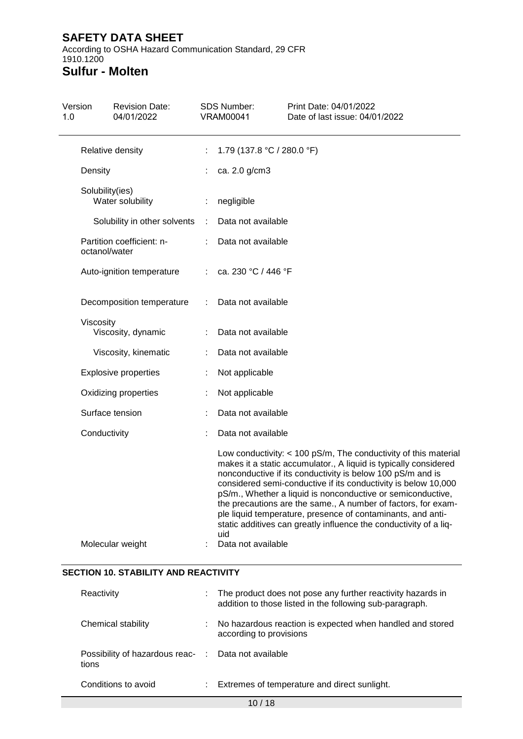According to OSHA Hazard Communication Standard, 29 CFR 1910.1200 **Sulfur - Molten**

## Version 1.0 Revision Date: 04/01/2022 SDS Number: VRAM00041 Print Date: 04/01/2022 Date of last issue: 04/01/2022 Relative density : 1.79 (137.8 °C / 280.0 °F) Density : ca. 2.0 g/cm3 Solubility(ies) Water solubility **:** negligible Solubility in other solvents : Data not available Partition coefficient: noctanol/water : Data not available Auto-ignition temperature : ca. 230 °C / 446 °F Decomposition temperature : Data not available Viscosity Viscosity, dynamic : Data not available

Explosive properties : Not applicable Oxidizing properties : Not applicable Surface tension : Data not available Conductivity : Data not available Low conductivity: < 100 pS/m, The conductivity of this material makes it a static accumulator., A liquid is typically considered nonconductive if its conductivity is below 100 pS/m and is considered semi-conductive if its conductivity is below 10,000 pS/m., Whether a liquid is nonconductive or semiconductive, the precautions are the same., A number of factors, for example liquid temperature, presence of contaminants, and antistatic additives can greatly influence the conductivity of a liquid

| Molecular weight | Data not available |
|------------------|--------------------|
|                  |                    |

Viscosity, kinematic : Data not available

## **SECTION 10. STABILITY AND REACTIVITY**

| Reactivity                                                   |    | : The product does not pose any further reactivity hazards in<br>addition to those listed in the following sub-paragraph. |
|--------------------------------------------------------------|----|---------------------------------------------------------------------------------------------------------------------------|
| Chemical stability                                           | ÷  | No hazardous reaction is expected when handled and stored<br>according to provisions                                      |
| Possibility of hazardous reac- : Data not available<br>tions |    |                                                                                                                           |
| Conditions to avoid                                          | ÷. | Extremes of temperature and direct sunlight.                                                                              |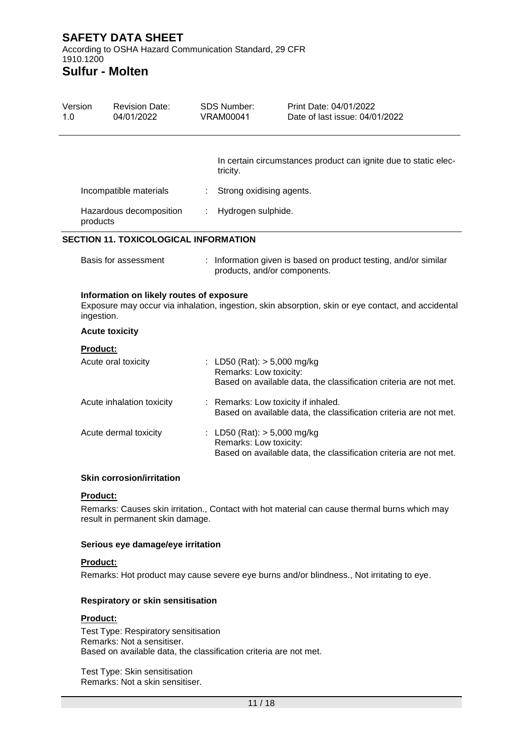According to OSHA Hazard Communication Standard, 29 CFR 1910.1200 **Sulfur - Molten**

## Version 1.0 Revision Date: 04/01/2022 SDS Number: VRAM00041 Print Date: 04/01/2022 Date of last issue: 04/01/2022 In certain circumstances product can ignite due to static electricity. Incompatible materials : Strong oxidising agents. Hazardous decomposition products : Hydrogen sulphide. **SECTION 11. TOXICOLOGICAL INFORMATION** Basis for assessment : Information given is based on product testing, and/or similar products, and/or components. **Information on likely routes of exposure** Exposure may occur via inhalation, ingestion, skin absorption, skin or eye contact, and accidental ingestion. **Acute toxicity Product:** Acute oral toxicity : LD50 (Rat): > 5,000 mg/kg Remarks: Low toxicity: Based on available data, the classification criteria are not met. Acute inhalation toxicity : Remarks: Low toxicity if inhaled. Based on available data, the classification criteria are not met. Acute dermal toxicity : LD50 (Rat): > 5,000 mg/kg Remarks: Low toxicity: Based on available data, the classification criteria are not met.

### **Skin corrosion/irritation**

#### **Product:**

Remarks: Causes skin irritation., Contact with hot material can cause thermal burns which may result in permanent skin damage.

#### **Serious eye damage/eye irritation**

#### **Product:**

Remarks: Hot product may cause severe eye burns and/or blindness., Not irritating to eye.

#### **Respiratory or skin sensitisation**

#### **Product:**

Test Type: Respiratory sensitisation Remarks: Not a sensitiser. Based on available data, the classification criteria are not met.

Test Type: Skin sensitisation Remarks: Not a skin sensitiser.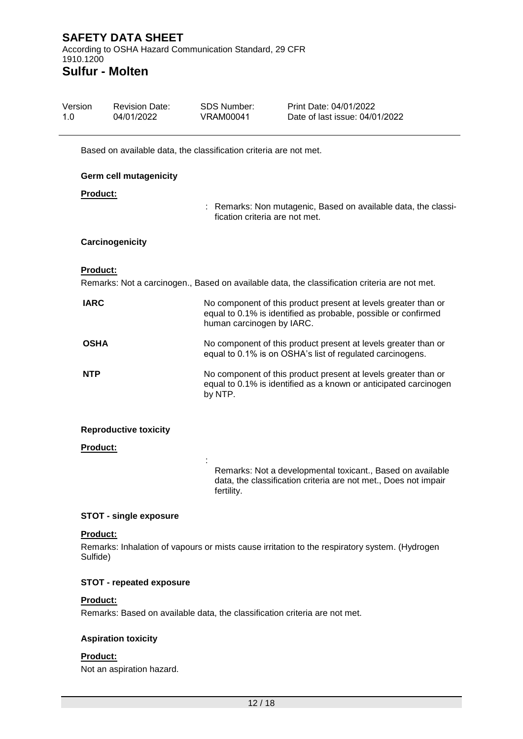| Version<br>1.0 |                 | <b>Revision Date:</b><br>04/01/2022                               | <b>SDS Number:</b><br><b>VRAM00041</b> | Print Date: 04/01/2022<br>Date of last issue: 04/01/2022                                                                           |
|----------------|-----------------|-------------------------------------------------------------------|----------------------------------------|------------------------------------------------------------------------------------------------------------------------------------|
|                |                 | Based on available data, the classification criteria are not met. |                                        |                                                                                                                                    |
|                |                 | <b>Germ cell mutagenicity</b>                                     |                                        |                                                                                                                                    |
|                | Product:        |                                                                   |                                        |                                                                                                                                    |
|                |                 |                                                                   | fication criteria are not met.         | : Remarks: Non mutagenic, Based on available data, the classi-                                                                     |
|                |                 | Carcinogenicity                                                   |                                        |                                                                                                                                    |
|                | Product:        |                                                                   |                                        | Remarks: Not a carcinogen., Based on available data, the classification criteria are not met.                                      |
|                | <b>IARC</b>     |                                                                   | human carcinogen by IARC.              | No component of this product present at levels greater than or<br>equal to 0.1% is identified as probable, possible or confirmed   |
|                | <b>OSHA</b>     |                                                                   |                                        | No component of this product present at levels greater than or<br>equal to 0.1% is on OSHA's list of regulated carcinogens.        |
|                | <b>NTP</b>      |                                                                   | by NTP.                                | No component of this product present at levels greater than or<br>equal to 0.1% is identified as a known or anticipated carcinogen |
|                |                 | <b>Reproductive toxicity</b>                                      |                                        |                                                                                                                                    |
|                | <b>Product:</b> |                                                                   |                                        |                                                                                                                                    |
|                |                 |                                                                   | fertility.                             | Remarks: Not a developmental toxicant., Based on available<br>data, the classification criteria are not met., Does not impair      |

### **STOT - single exposure**

### **Product:**

Remarks: Inhalation of vapours or mists cause irritation to the respiratory system. (Hydrogen Sulfide)

## **STOT - repeated exposure**

## **Product:**

Remarks: Based on available data, the classification criteria are not met.

### **Aspiration toxicity**

#### **Product:**

Not an aspiration hazard.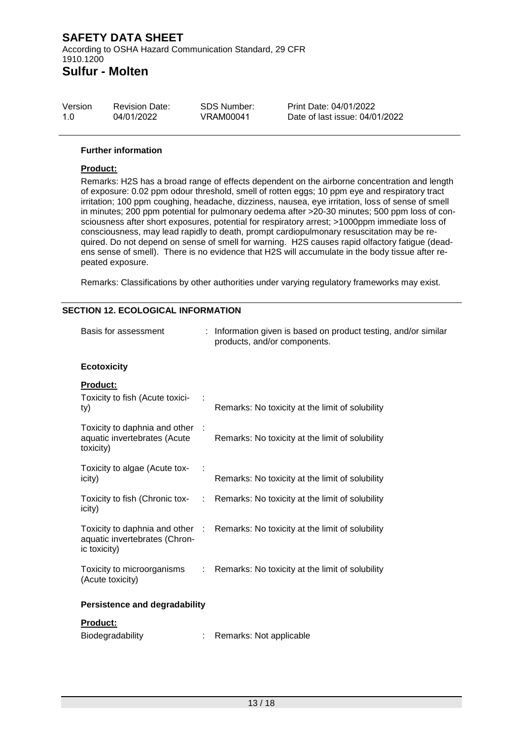| Version | <b>Revision Date:</b> | SDS Number: | Print Date: 04/01/2022         |
|---------|-----------------------|-------------|--------------------------------|
| 1.0     | 04/01/2022            | VRAM00041   | Date of last issue: 04/01/2022 |

#### **Further information**

## **Product:**

Remarks: H2S has a broad range of effects dependent on the airborne concentration and length of exposure: 0.02 ppm odour threshold, smell of rotten eggs; 10 ppm eye and respiratory tract irritation; 100 ppm coughing, headache, dizziness, nausea, eye irritation, loss of sense of smell in minutes; 200 ppm potential for pulmonary oedema after >20-30 minutes; 500 ppm loss of consciousness after short exposures, potential for respiratory arrest; >1000ppm immediate loss of consciousness, may lead rapidly to death, prompt cardiopulmonary resuscitation may be required. Do not depend on sense of smell for warning. H2S causes rapid olfactory fatigue (deadens sense of smell). There is no evidence that H2S will accumulate in the body tissue after repeated exposure.

Remarks: Classifications by other authorities under varying regulatory frameworks may exist.

### **SECTION 12. ECOLOGICAL INFORMATION**

| Basis for assessment                                                             |    | Information given is based on product testing, and/or similar<br>products, and/or components. |
|----------------------------------------------------------------------------------|----|-----------------------------------------------------------------------------------------------|
| <b>Ecotoxicity</b>                                                               |    |                                                                                               |
| <b>Product:</b><br>Toxicity to fish (Acute toxici-<br>ty)                        |    | Remarks: No toxicity at the limit of solubility                                               |
| Toxicity to daphnia and other<br>aquatic invertebrates (Acute<br>toxicity)       |    | Remarks: No toxicity at the limit of solubility                                               |
| Toxicity to algae (Acute tox-<br>icity)                                          |    | Remarks: No toxicity at the limit of solubility                                               |
| Toxicity to fish (Chronic tox-<br>icity)                                         | t. | Remarks: No toxicity at the limit of solubility                                               |
| Toxicity to daphnia and other :<br>aquatic invertebrates (Chron-<br>ic toxicity) |    | Remarks: No toxicity at the limit of solubility                                               |
| Toxicity to microorganisms<br>(Acute toxicity)                                   | ÷  | Remarks: No toxicity at the limit of solubility                                               |
| <b>Persistence and degradability</b>                                             |    |                                                                                               |
| Product:                                                                         |    |                                                                                               |
| Biodegradability                                                                 |    | Remarks: Not applicable                                                                       |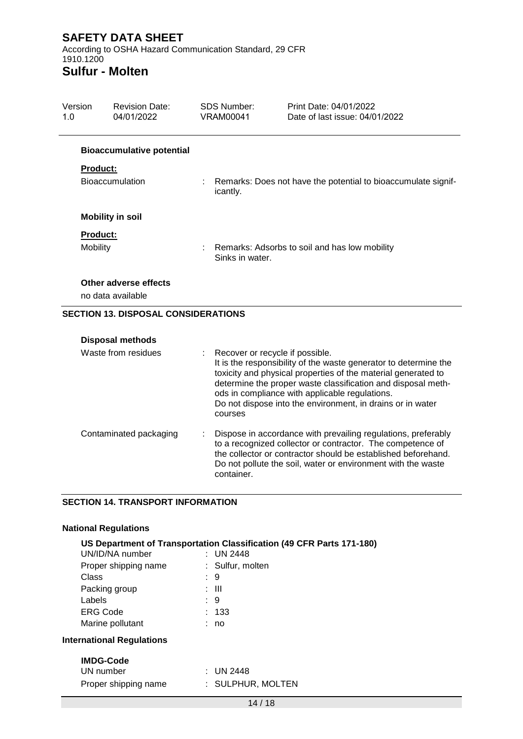According to OSHA Hazard Communication Standard, 29 CFR 1910.1200

# **Sulfur - Molten**

| Version<br>1.0 |                 | <b>Revision Date:</b><br>04/01/2022        | <b>SDS Number:</b><br><b>VRAM00041</b>                           |                                            | Print Date: 04/01/2022<br>Date of last issue: 04/01/2022                                                                                                                                                                                                                                                          |
|----------------|-----------------|--------------------------------------------|------------------------------------------------------------------|--------------------------------------------|-------------------------------------------------------------------------------------------------------------------------------------------------------------------------------------------------------------------------------------------------------------------------------------------------------------------|
|                |                 | <b>Bioaccumulative potential</b>           |                                                                  |                                            |                                                                                                                                                                                                                                                                                                                   |
|                | Product:        |                                            |                                                                  |                                            |                                                                                                                                                                                                                                                                                                                   |
|                |                 | Bioaccumulation                            |                                                                  | icantly.                                   | Remarks: Does not have the potential to bioaccumulate signif-                                                                                                                                                                                                                                                     |
|                |                 | <b>Mobility in soil</b>                    |                                                                  |                                            |                                                                                                                                                                                                                                                                                                                   |
|                | <b>Product:</b> |                                            |                                                                  |                                            |                                                                                                                                                                                                                                                                                                                   |
|                | Mobility        |                                            | Remarks: Adsorbs to soil and has low mobility<br>Sinks in water. |                                            |                                                                                                                                                                                                                                                                                                                   |
|                |                 | Other adverse effects                      |                                                                  |                                            |                                                                                                                                                                                                                                                                                                                   |
|                |                 | no data available                          |                                                                  |                                            |                                                                                                                                                                                                                                                                                                                   |
|                |                 | <b>SECTION 13. DISPOSAL CONSIDERATIONS</b> |                                                                  |                                            |                                                                                                                                                                                                                                                                                                                   |
|                |                 | <b>Disposal methods</b>                    |                                                                  |                                            |                                                                                                                                                                                                                                                                                                                   |
|                |                 | Waste from residues                        |                                                                  | Recover or recycle if possible.<br>courses | It is the responsibility of the waste generator to determine the<br>toxicity and physical properties of the material generated to<br>determine the proper waste classification and disposal meth-<br>ods in compliance with applicable regulations.<br>Do not dispose into the environment, in drains or in water |
|                |                 | Contaminated packaging                     |                                                                  | container.                                 | Dispose in accordance with prevailing regulations, preferably<br>to a recognized collector or contractor. The competence of<br>the collector or contractor should be established beforehand.<br>Do not pollute the soil, water or environment with the waste                                                      |

## **SECTION 14. TRANSPORT INFORMATION**

## **National Regulations**

| UN/ID/NA number                  | US Department of Transportation Classification (49 CFR Parts 171-180)<br>: UN 2448 |
|----------------------------------|------------------------------------------------------------------------------------|
| Proper shipping name             | : Sulfur, molten                                                                   |
| Class                            | : 9                                                                                |
| Packing group                    | : III                                                                              |
| Labels                           | 9                                                                                  |
| ERG Code                         | : 133                                                                              |
| Marine pollutant                 | : no                                                                               |
| <b>International Regulations</b> |                                                                                    |
| <b>IMDG-Code</b>                 |                                                                                    |
| UN number                        | : UN 2448                                                                          |
| Proper shipping name             | : SULPHUR, MOLTEN                                                                  |
|                                  |                                                                                    |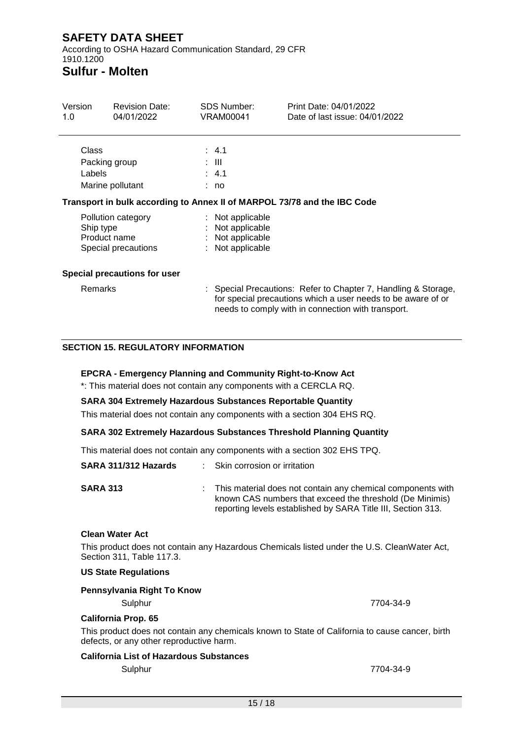According to OSHA Hazard Communication Standard, 29 CFR 1910.1200

# **Sulfur - Molten**

| Version<br>1.0  | <b>Revision Date:</b><br>04/01/2022                       | <b>SDS Number:</b><br>VRAM00041                                              | Print Date: 04/01/2022<br>Date of last issue: 04/01/2022                                                                       |
|-----------------|-----------------------------------------------------------|------------------------------------------------------------------------------|--------------------------------------------------------------------------------------------------------------------------------|
| Class<br>Labels | Packing group<br>Marine pollutant                         | $\therefore$ 4.1<br>: III<br>$\therefore$ 4.1<br>: no                        |                                                                                                                                |
|                 |                                                           |                                                                              | Transport in bulk according to Annex II of MARPOL 73/78 and the IBC Code                                                       |
| Ship type       | Pollution category<br>Product name<br>Special precautions | : Not applicable<br>: Not applicable<br>: Not applicable<br>: Not applicable |                                                                                                                                |
|                 | Special precautions for user                              |                                                                              |                                                                                                                                |
| <b>Remarks</b>  |                                                           |                                                                              | : Special Precautions: Refer to Chapter 7, Handling & Storage,<br>for special precautions which a user needs to be aware of or |

needs to comply with in connection with transport.

reporting levels established by SARA Title III, Section 313.

### **SECTION 15. REGULATORY INFORMATION**

### **EPCRA - Emergency Planning and Community Right-to-Know Act**

\*: This material does not contain any components with a CERCLA RQ.

#### **SARA 304 Extremely Hazardous Substances Reportable Quantity**

This material does not contain any components with a section 304 EHS RQ.

#### **SARA 302 Extremely Hazardous Substances Threshold Planning Quantity**

This material does not contain any components with a section 302 EHS TPQ.

| SARA 311/312 Hazards | $\therefore$ Skin corrosion or irritation                                                                               |
|----------------------|-------------------------------------------------------------------------------------------------------------------------|
| <b>SARA 313</b>      | This material does not contain any chemical components with<br>known CAS numbers that exceed the threshold (De Minimis) |

#### **Clean Water Act**

This product does not contain any Hazardous Chemicals listed under the U.S. CleanWater Act, Section 311, Table 117.3.

#### **US State Regulations**

## **Pennsylvania Right To Know** Sulphur 7704-34-9

#### **California Prop. 65**

This product does not contain any chemicals known to State of California to cause cancer, birth defects, or any other reproductive harm.

### **California List of Hazardous Substances**

Sulphur 7704-34-9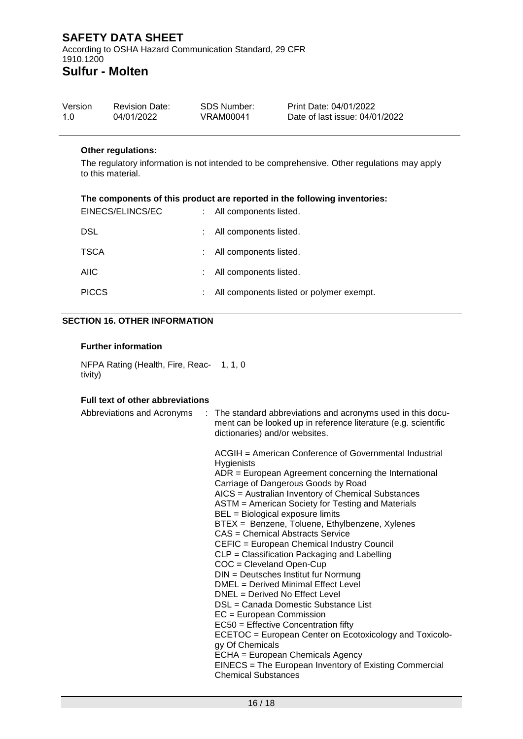## **SAFETY DATA SHEET** According to OSHA Hazard Communication Standard, 29 CFR 1910.1200

## **Sulfur - Molten**

| Version | <b>Revision Date:</b> | SDS Number: | Print Date: 04/01/2022         |
|---------|-----------------------|-------------|--------------------------------|
| 1.O     | 04/01/2022            | VRAM00041   | Date of last issue: 04/01/2022 |

### **Other regulations:**

The regulatory information is not intended to be comprehensive. Other regulations may apply to this material.

### **The components of this product are reported in the following inventories:**

| EINECS/ELINCS/EC | : All components listed.                 |
|------------------|------------------------------------------|
| <b>DSL</b>       | : All components listed.                 |
| <b>TSCA</b>      | : All components listed.                 |
| <b>AIIC</b>      | : All components listed.                 |
| <b>PICCS</b>     | All components listed or polymer exempt. |

### **SECTION 16. OTHER INFORMATION**

### **Further information**

NFPA Rating (Health, Fire, Reac-1, 1, 0 tivity)

## **Full text of other abbreviations**

| Abbreviations and Acronyms | : The standard abbreviations and acronyms used in this docu-<br>ment can be looked up in reference literature (e.g. scientific<br>dictionaries) and/or websites.                                                                                                                                                                                                                                                                                                                                                                                                                                                                                                                                                                                                                                                                                                                                                                                                                          |
|----------------------------|-------------------------------------------------------------------------------------------------------------------------------------------------------------------------------------------------------------------------------------------------------------------------------------------------------------------------------------------------------------------------------------------------------------------------------------------------------------------------------------------------------------------------------------------------------------------------------------------------------------------------------------------------------------------------------------------------------------------------------------------------------------------------------------------------------------------------------------------------------------------------------------------------------------------------------------------------------------------------------------------|
|                            | ACGIH = American Conference of Governmental Industrial<br><b>Hygienists</b><br>$ADR = European Agreement concerning the International$<br>Carriage of Dangerous Goods by Road<br>AICS = Australian Inventory of Chemical Substances<br>ASTM = American Society for Testing and Materials<br>BEL = Biological exposure limits<br>BTEX = Benzene, Toluene, Ethylbenzene, Xylenes<br>CAS = Chemical Abstracts Service<br>CEFIC = European Chemical Industry Council<br>CLP = Classification Packaging and Labelling<br>$COC = Cleveland Open-Cup$<br>DIN = Deutsches Institut fur Normung<br>DMEL = Derived Minimal Effect Level<br>$DNEL = Derived No Effect Level$<br>DSL = Canada Domestic Substance List<br>$EC = European Commission$<br>EC50 = Effective Concentration fifty<br>ECETOC = European Center on Ecotoxicology and Toxicolo-<br>gy Of Chemicals<br>ECHA = European Chemicals Agency<br>EINECS = The European Inventory of Existing Commercial<br><b>Chemical Substances</b> |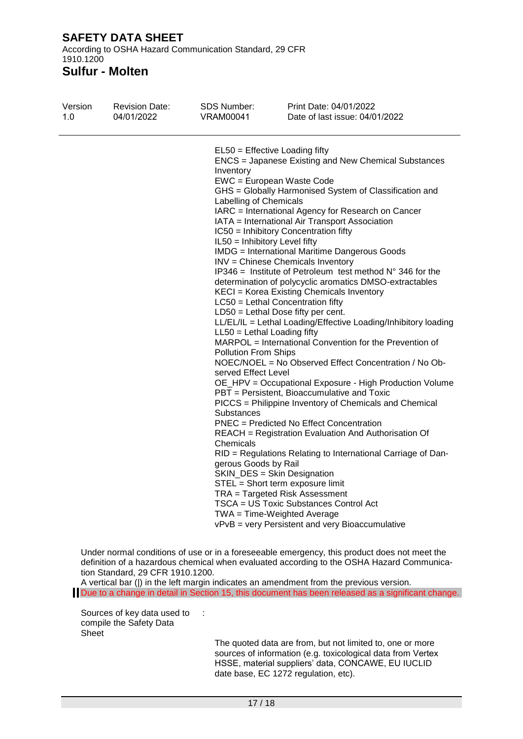According to OSHA Hazard Communication Standard, 29 CFR 1910.1200

**Sulfur - Molten**

| Version<br><b>Revision Date:</b><br>04/01/2022<br>1.0 | <b>VRAM00041</b>                                                                                                                                                                                                                                                                                                                                                                                                                                                                                                                                                                                                                                                                                                                                                                                                                                                                                                                                                                                                                                                                                                                                                                                                                                                                                                                                                                                                                                                                                                                                                                                                                                                                                 | Print Date: 04/01/2022<br>Date of last issue: 04/01/2022 |
|-------------------------------------------------------|--------------------------------------------------------------------------------------------------------------------------------------------------------------------------------------------------------------------------------------------------------------------------------------------------------------------------------------------------------------------------------------------------------------------------------------------------------------------------------------------------------------------------------------------------------------------------------------------------------------------------------------------------------------------------------------------------------------------------------------------------------------------------------------------------------------------------------------------------------------------------------------------------------------------------------------------------------------------------------------------------------------------------------------------------------------------------------------------------------------------------------------------------------------------------------------------------------------------------------------------------------------------------------------------------------------------------------------------------------------------------------------------------------------------------------------------------------------------------------------------------------------------------------------------------------------------------------------------------------------------------------------------------------------------------------------------------|----------------------------------------------------------|
|                                                       | $EL50 = E$ fective Loading fifty<br><b>ENCS</b> = Japanese Existing and New Chemical Substances<br>Inventory<br>EWC = European Waste Code<br>GHS = Globally Harmonised System of Classification and<br>Labelling of Chemicals<br>IARC = International Agency for Research on Cancer<br>IATA = International Air Transport Association<br>IC50 = Inhibitory Concentration fifty<br>IL50 = Inhibitory Level fifty<br><b>IMDG</b> = International Maritime Dangerous Goods<br>INV = Chinese Chemicals Inventory<br>IP346 = Institute of Petroleum test method $N^{\circ}$ 346 for the<br>determination of polycyclic aromatics DMSO-extractables<br>KECI = Korea Existing Chemicals Inventory<br>$LC50$ = Lethal Concentration fifty<br>$LD50 = Lethal Does fifty per cent.$<br>LL/EL/IL = Lethal Loading/Effective Loading/Inhibitory loading<br>$LL50 = Lethal$ Loading fifty<br>MARPOL = International Convention for the Prevention of<br><b>Pollution From Ships</b><br>NOEC/NOEL = No Observed Effect Concentration / No Ob-<br>served Effect Level<br>OE_HPV = Occupational Exposure - High Production Volume<br>PBT = Persistent, Bioaccumulative and Toxic<br>PICCS = Philippine Inventory of Chemicals and Chemical<br>Substances<br><b>PNEC</b> = Predicted No Effect Concentration<br><b>REACH</b> = Registration Evaluation And Authorisation Of<br>Chemicals<br>RID = Regulations Relating to International Carriage of Dan-<br>gerous Goods by Rail<br>SKIN_DES = Skin Designation<br>STEL = Short term exposure limit<br>TRA = Targeted Risk Assessment<br>TSCA = US Toxic Substances Control Act<br>TWA = Time-Weighted Average<br>vPvB = very Persistent and very Bioaccumulative |                                                          |

Under normal conditions of use or in a foreseeable emergency, this product does not meet the definition of a hazardous chemical when evaluated according to the OSHA Hazard Communication Standard, 29 CFR 1910.1200.

A vertical bar (|) in the left margin indicates an amendment from the previous version. Due to a change in detail in Section 15, this document has been released as a significant change.

Sources of key data used to : compile the Safety Data Sheet

The quoted data are from, but not limited to, one or more sources of information (e.g. toxicological data from Vertex HSSE, material suppliers' data, CONCAWE, EU IUCLID date base, EC 1272 regulation, etc).